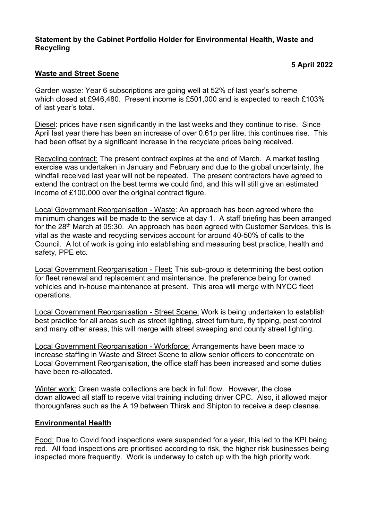#### **Statement by the Cabinet Portfolio Holder for Environmental Health, Waste and Recycling**

# **5 April 2022**

## **Waste and Street Scene**

Garden waste: Year 6 subscriptions are going well at 52% of last year's scheme which closed at £946,480. Present income is £501,000 and is expected to reach £103% of last year's total.

Diesel: prices have risen significantly in the last weeks and they continue to rise. Since April last year there has been an increase of over 0.61p per litre, this continues rise. This had been offset by a significant increase in the recyclate prices being received.

Recycling contract: The present contract expires at the end of March. A market testing exercise was undertaken in January and February and due to the global uncertainty, the windfall received last year will not be repeated. The present contractors have agreed to extend the contract on the best terms we could find, and this will still give an estimated income of £100,000 over the original contract figure.

Local Government Reorganisation - Waste: An approach has been agreed where the minimum changes will be made to the service at day 1. A staff briefing has been arranged for the 28th March at 05:30. An approach has been agreed with Customer Services, this is vital as the waste and recycling services account for around 40-50% of calls to the Council. A lot of work is going into establishing and measuring best practice, health and safety, PPE etc.

Local Government Reorganisation - Fleet: This sub-group is determining the best option for fleet renewal and replacement and maintenance, the preference being for owned vehicles and in-house maintenance at present. This area will merge with NYCC fleet operations.

Local Government Reorganisation - Street Scene: Work is being undertaken to establish best practice for all areas such as street lighting, street furniture, fly tipping, pest control and many other areas, this will merge with street sweeping and county street lighting.

Local Government Reorganisation - Workforce: Arrangements have been made to increase staffing in Waste and Street Scene to allow senior officers to concentrate on Local Government Reorganisation, the office staff has been increased and some duties have been re-allocated.

Winter work: Green waste collections are back in full flow. However, the close down allowed all staff to receive vital training including driver CPC. Also, it allowed major thoroughfares such as the A 19 between Thirsk and Shipton to receive a deep cleanse.

### **Environmental Health**

Food: Due to Covid food inspections were suspended for a year, this led to the KPI being red. All food inspections are prioritised according to risk, the higher risk businesses being inspected more frequently. Work is underway to catch up with the high priority work.